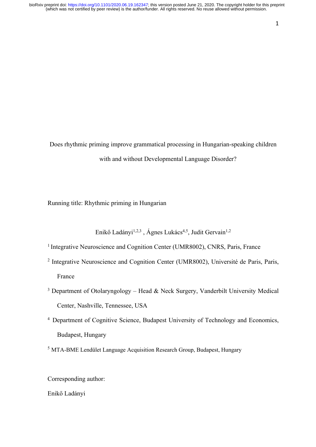Does rhythmic priming improve grammatical processing in Hungarian-speaking children with and without Developmental Language Disorder?

Running title: Rhythmic priming in Hungarian

Enikő Ladányi<sup>1,2,3</sup>, Ágnes Lukács<sup>4,5</sup>, Judit Gervain<sup>1,2</sup>

<sup>1</sup> Integrative Neuroscience and Cognition Center (UMR8002), CNRS, Paris, France

- <sup>2</sup> Integrative Neuroscience and Cognition Center (UMR8002), Université de Paris, Paris, France
- <sup>3</sup> Department of Otolaryngology Head & Neck Surgery, Vanderbilt University Medical Center, Nashville, Tennessee, USA
- 4 Department of Cognitive Science, Budapest University of Technology and Economics, Budapest, Hungary

<sup>5</sup> MTA-BME Lendület Language Acquisition Research Group, Budapest, Hungary

Corresponding author:

Enikő Ladányi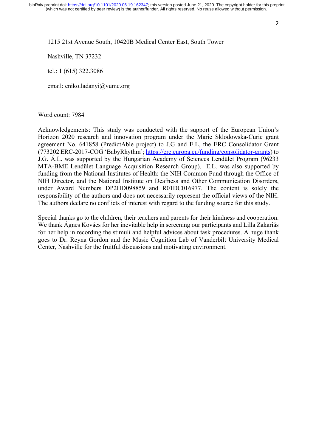#### 1215 21st Avenue South, 10420B Medical Center East, South Tower

Nashville, TN 37232

tel.: 1 (615) 322.3086

email: eniko.ladanyi@vumc.org

Word count: 7984

Acknowledgements: This study was conducted with the support of the European Union's Horizon 2020 research and innovation program under the Marie Sklodowska-Curie grant agreement No. 641858 (PredictAble project) to J.G and E.L, the ERC Consolidator Grant (773202 ERC-2017-COG 'BabyRhythm'; https://erc.europa.eu/funding/consolidator-grants) to J.G. Á.L. was supported by the Hungarian Academy of Sciences Lendület Program (96233 MTA-BME Lendület Language Acquisition Research Group). E.L. was also supported by funding from the National Institutes of Health: the NIH Common Fund through the Office of NIH Director, and the National Institute on Deafness and Other Communication Disorders, under Award Numbers DP2HD098859 and R01DC016977. The content is solely the responsibility of the authors and does not necessarily represent the official views of the NIH. The authors declare no conflicts of interest with regard to the funding source for this study.

Special thanks go to the children, their teachers and parents for their kindness and cooperation. We thank Ágnes Kovács for her inevitable help in screening our participants and Lilla Zakariás for her help in recording the stimuli and helpful advices about task procedures. A huge thank goes to Dr. Reyna Gordon and the Music Cognition Lab of Vanderbilt University Medical Center, Nashville for the fruitful discussions and motivating environment.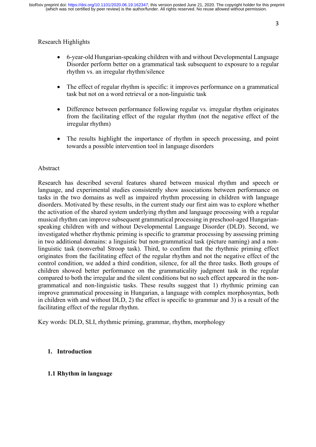# Research Highlights

- 6-year-old Hungarian-speaking children with and without Developmental Language Disorder perform better on a grammatical task subsequent to exposure to a regular rhythm vs. an irregular rhythm/silence
- The effect of regular rhythm is specific: it improves performance on a grammatical task but not on a word retrieval or a non-linguistic task
- Difference between performance following regular vs. irregular rhythm originates from the facilitating effect of the regular rhythm (not the negative effect of the irregular rhythm)
- The results highlight the importance of rhythm in speech processing, and point towards a possible intervention tool in language disorders

# Abstract

Research has described several features shared between musical rhythm and speech or language, and experimental studies consistently show associations between performance on tasks in the two domains as well as impaired rhythm processing in children with language disorders. Motivated by these results, in the current study our first aim was to explore whether the activation of the shared system underlying rhythm and language processing with a regular musical rhythm can improve subsequent grammatical processing in preschool-aged Hungarianspeaking children with and without Developmental Language Disorder (DLD). Second, we investigated whether rhythmic priming is specific to grammar processing by assessing priming in two additional domains: a linguistic but non-grammatical task (picture naming) and a nonlinguistic task (nonverbal Stroop task). Third, to confirm that the rhythmic priming effect originates from the facilitating effect of the regular rhythm and not the negative effect of the control condition, we added a third condition, silence, for all the three tasks. Both groups of children showed better performance on the grammaticality judgment task in the regular compared to both the irregular and the silent conditions but no such effect appeared in the nongrammatical and non-linguistic tasks. These results suggest that 1) rhythmic priming can improve grammatical processing in Hungarian, a language with complex morphosyntax, both in children with and without DLD, 2) the effect is specific to grammar and 3) is a result of the facilitating effect of the regular rhythm.

Key words: DLD, SLI, rhythmic priming, grammar, rhythm, morphology

# **1. Introduction**

# **1.1 Rhythm in language**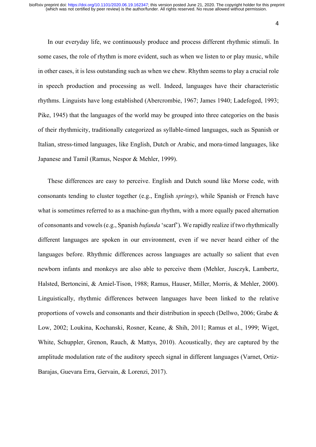In our everyday life, we continuously produce and process different rhythmic stimuli. In some cases, the role of rhythm is more evident, such as when we listen to or play music, while in other cases, it is less outstanding such as when we chew. Rhythm seems to play a crucial role in speech production and processing as well. Indeed, languages have their characteristic rhythms. Linguists have long established (Abercrombie, 1967; James 1940; Ladefoged, 1993; Pike, 1945) that the languages of the world may be grouped into three categories on the basis of their rhythmicity, traditionally categorized as syllable-timed languages, such as Spanish or Italian, stress-timed languages, like English, Dutch or Arabic, and mora-timed languages, like Japanese and Tamil (Ramus, Nespor & Mehler, 1999).

These differences are easy to perceive. English and Dutch sound like Morse code, with consonants tending to cluster together (e.g., English *springs*), while Spanish or French have what is sometimes referred to as a machine-gun rhythm, with a more equally paced alternation of consonants and vowels (e.g., Spanish *bufanda* 'scarf'). We rapidly realize if two rhythmically different languages are spoken in our environment, even if we never heard either of the languages before. Rhythmic differences across languages are actually so salient that even newborn infants and monkeys are also able to perceive them (Mehler, Jusczyk, Lambertz, Halsted, Bertoncini, & Amiel-Tison, 1988; Ramus, Hauser, Miller, Morris, & Mehler, 2000). Linguistically, rhythmic differences between languages have been linked to the relative proportions of vowels and consonants and their distribution in speech (Dellwo, 2006; Grabe & Low, 2002; Loukina, Kochanski, Rosner, Keane, & Shih, 2011; Ramus et al., 1999; Wiget, White, Schuppler, Grenon, Rauch, & Mattys, 2010). Acoustically, they are captured by the amplitude modulation rate of the auditory speech signal in different languages (Varnet, Ortiz-Barajas, Guevara Erra, Gervain, & Lorenzi, 2017).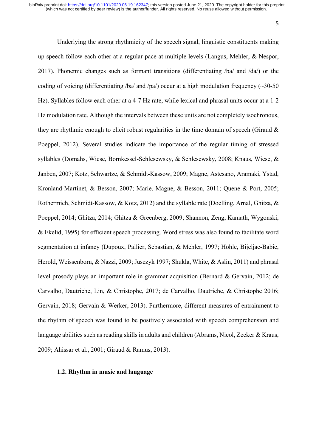Underlying the strong rhythmicity of the speech signal, linguistic constituents making up speech follow each other at a regular pace at multiple levels (Langus, Mehler, & Nespor, 2017). Phonemic changes such as formant transitions (differentiating /ba/ and /da/) or the coding of voicing (differentiating /ba/ and /pa/) occur at a high modulation frequency ( $\sim$ 30-50 Hz). Syllables follow each other at a 4-7 Hz rate, while lexical and phrasal units occur at a 1-2 Hz modulation rate. Although the intervals between these units are not completely isochronous, they are rhythmic enough to elicit robust regularities in the time domain of speech (Giraud  $\&$ Poeppel, 2012). Several studies indicate the importance of the regular timing of stressed syllables (Domahs, Wiese, Bornkessel-Schlesewsky, & Schlesewsky, 2008; Knaus, Wiese, & Janben, 2007; Kotz, Schwartze, & Schmidt-Kassow, 2009; Magne, Astesano, Aramaki, Ystad, Kronland-Martinet, & Besson, 2007; Marie, Magne, & Besson, 2011; Quene & Port, 2005; Rothermich, Schmidt-Kassow, & Kotz, 2012) and the syllable rate (Doelling, Arnal, Ghitza, & Poeppel, 2014; Ghitza, 2014; Ghitza & Greenberg, 2009; Shannon, Zeng, Kamath, Wygonski, & Ekelid, 1995) for efficient speech processing. Word stress was also found to facilitate word segmentation at infancy (Dupoux, Pallier, Sebastian, & Mehler, 1997; Höhle, Bijeljac-Babic, Herold, Weissenborn, & Nazzi, 2009; Jusczyk 1997; Shukla, White, & Aslin, 2011) and phrasal level prosody plays an important role in grammar acquisition (Bernard & Gervain, 2012; de Carvalho, Dautriche, Lin, & Christophe, 2017; de Carvalho, Dautriche, & Christophe 2016; Gervain, 2018; Gervain & Werker, 2013). Furthermore, different measures of entrainment to the rhythm of speech was found to be positively associated with speech comprehension and language abilities such as reading skills in adults and children (Abrams, Nicol, Zecker & Kraus, 2009; Ahissar et al., 2001; Giraud & Ramus, 2013).

#### **1.2. Rhythm in music and language**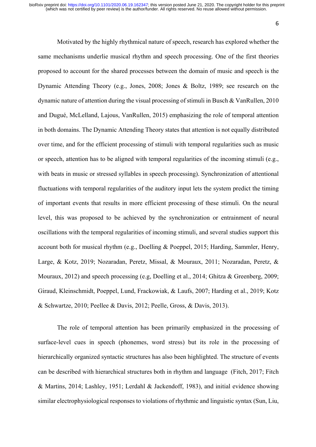Motivated by the highly rhythmical nature of speech, research has explored whether the same mechanisms underlie musical rhythm and speech processing. One of the first theories proposed to account for the shared processes between the domain of music and speech is the Dynamic Attending Theory (e.g., Jones, 2008; Jones & Boltz, 1989; see research on the dynamic nature of attention during the visual processing of stimuli in Busch & VanRullen, 2010 and Dugué, McLelland, Lajous, VanRullen, 2015) emphasizing the role of temporal attention in both domains. The Dynamic Attending Theory states that attention is not equally distributed over time, and for the efficient processing of stimuli with temporal regularities such as music or speech, attention has to be aligned with temporal regularities of the incoming stimuli (e.g., with beats in music or stressed syllables in speech processing). Synchronization of attentional fluctuations with temporal regularities of the auditory input lets the system predict the timing of important events that results in more efficient processing of these stimuli. On the neural level, this was proposed to be achieved by the synchronization or entrainment of neural oscillations with the temporal regularities of incoming stimuli, and several studies support this account both for musical rhythm (e.g., Doelling & Poeppel, 2015; Harding, Sammler, Henry, Large, & Kotz, 2019; Nozaradan, Peretz, Missal, & Mouraux, 2011; Nozaradan, Peretz, & Mouraux, 2012) and speech processing (e.g, Doelling et al., 2014; Ghitza & Greenberg, 2009; Giraud, Kleinschmidt, Poeppel, Lund, Frackowiak, & Laufs, 2007; Harding et al., 2019; Kotz & Schwartze, 2010; Peellee & Davis, 2012; Peelle, Gross, & Davis, 2013).

The role of temporal attention has been primarily emphasized in the processing of surface-level cues in speech (phonemes, word stress) but its role in the processing of hierarchically organized syntactic structures has also been highlighted. The structure of events can be described with hierarchical structures both in rhythm and language (Fitch, 2017; Fitch & Martins, 2014; Lashley, 1951; Lerdahl & Jackendoff, 1983), and initial evidence showing similar electrophysiological responses to violations of rhythmic and linguistic syntax (Sun, Liu,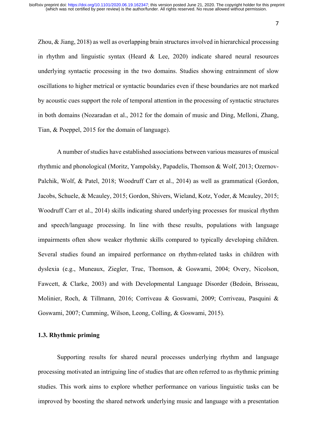Zhou, & Jiang, 2018) as well as overlapping brain structures involved in hierarchical processing in rhythm and linguistic syntax (Heard  $\&$  Lee, 2020) indicate shared neural resources underlying syntactic processing in the two domains. Studies showing entrainment of slow oscillations to higher metrical or syntactic boundaries even if these boundaries are not marked by acoustic cues support the role of temporal attention in the processing of syntactic structures in both domains (Nozaradan et al., 2012 for the domain of music and Ding, Melloni, Zhang, Tian, & Poeppel, 2015 for the domain of language).

A number of studies have established associations between various measures of musical rhythmic and phonological (Moritz, Yampolsky, Papadelis, Thomson & Wolf, 2013; Ozernov-Palchik, Wolf, & Patel, 2018; Woodruff Carr et al., 2014) as well as grammatical (Gordon, Jacobs, Schuele, & Mcauley, 2015; Gordon, Shivers, Wieland, Kotz, Yoder, & Mcauley, 2015; Woodruff Carr et al., 2014) skills indicating shared underlying processes for musical rhythm and speech/language processing. In line with these results, populations with language impairments often show weaker rhythmic skills compared to typically developing children. Several studies found an impaired performance on rhythm-related tasks in children with dyslexia (e.g., Muneaux, Ziegler, Truc, Thomson, & Goswami, 2004; Overy, Nicolson, Fawcett, & Clarke, 2003) and with Developmental Language Disorder (Bedoin, Brisseau, Molinier, Roch, & Tillmann, 2016; Corriveau & Goswami, 2009; Corriveau, Pasquini & Goswami, 2007; Cumming, Wilson, Leong, Colling, & Goswami, 2015).

### **1.3. Rhythmic priming**

Supporting results for shared neural processes underlying rhythm and language processing motivated an intriguing line of studies that are often referred to as rhythmic priming studies. This work aims to explore whether performance on various linguistic tasks can be improved by boosting the shared network underlying music and language with a presentation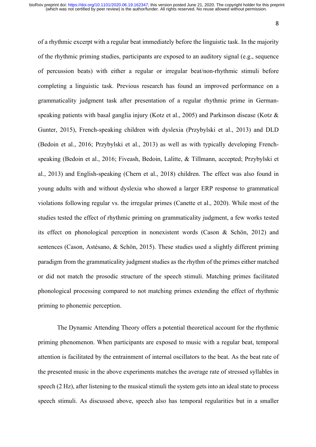of a rhythmic excerpt with a regular beat immediately before the linguistic task. In the majority of the rhythmic priming studies, participants are exposed to an auditory signal (e.g., sequence of percussion beats) with either a regular or irregular beat/non-rhythmic stimuli before completing a linguistic task. Previous research has found an improved performance on a grammaticality judgment task after presentation of a regular rhythmic prime in Germanspeaking patients with basal ganglia injury (Kotz et al., 2005) and Parkinson disease (Kotz & Gunter, 2015), French-speaking children with dyslexia (Przybylski et al., 2013) and DLD (Bedoin et al., 2016; Przybylski et al., 2013) as well as with typically developing Frenchspeaking (Bedoin et al., 2016; Fiveash, Bedoin, Lalitte, & Tillmann, accepted; Przybylski et al., 2013) and English-speaking (Chern et al., 2018) children. The effect was also found in young adults with and without dyslexia who showed a larger ERP response to grammatical violations following regular vs. the irregular primes (Canette et al., 2020). While most of the studies tested the effect of rhythmic priming on grammaticality judgment, a few works tested its effect on phonological perception in nonexistent words (Cason & Schön, 2012) and sentences (Cason, Astésano, & Schön, 2015). These studies used a slightly different priming paradigm from the grammaticality judgment studies as the rhythm of the primes either matched or did not match the prosodic structure of the speech stimuli. Matching primes facilitated phonological processing compared to not matching primes extending the effect of rhythmic priming to phonemic perception.

The Dynamic Attending Theory offers a potential theoretical account for the rhythmic priming phenomenon. When participants are exposed to music with a regular beat, temporal attention is facilitated by the entrainment of internal oscillators to the beat. As the beat rate of the presented music in the above experiments matches the average rate of stressed syllables in speech (2 Hz), after listening to the musical stimuli the system gets into an ideal state to process speech stimuli. As discussed above, speech also has temporal regularities but in a smaller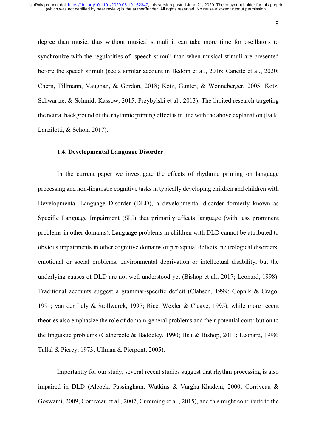degree than music, thus without musical stimuli it can take more time for oscillators to synchronize with the regularities of speech stimuli than when musical stimuli are presented before the speech stimuli (see a similar account in Bedoin et al., 2016; Canette et al., 2020; Chern, Tillmann, Vaughan, & Gordon, 2018; Kotz, Gunter, & Wonneberger, 2005; Kotz, Schwartze, & Schmidt-Kassow, 2015; Przybylski et al., 2013). The limited research targeting the neural background of the rhythmic priming effect is in line with the above explanation (Falk, Lanzilotti, & Schön, 2017).

#### **1.4. Developmental Language Disorder**

In the current paper we investigate the effects of rhythmic priming on language processing and non-linguistic cognitive tasks in typically developing children and children with Developmental Language Disorder (DLD), a developmental disorder formerly known as Specific Language Impairment (SLI) that primarily affects language (with less prominent problems in other domains). Language problems in children with DLD cannot be attributed to obvious impairments in other cognitive domains or perceptual deficits, neurological disorders, emotional or social problems, environmental deprivation or intellectual disability, but the underlying causes of DLD are not well understood yet (Bishop et al., 2017; Leonard, 1998). Traditional accounts suggest a grammar-specific deficit (Clahsen, 1999; Gopnik & Crago, 1991; van der Lely & Stollwerck, 1997; Rice, Wexler & Cleave, 1995), while more recent theories also emphasize the role of domain-general problems and their potential contribution to the linguistic problems (Gathercole & Baddeley, 1990; Hsu & Bishop, 2011; Leonard, 1998; Tallal & Piercy, 1973; Ullman & Pierpont, 2005).

Importantly for our study, several recent studies suggest that rhythm processing is also impaired in DLD (Alcock, Passingham, Watkins & Vargha-Khadem, 2000; Corriveau & Goswami, 2009; Corriveau et al., 2007, Cumming et al., 2015), and this might contribute to the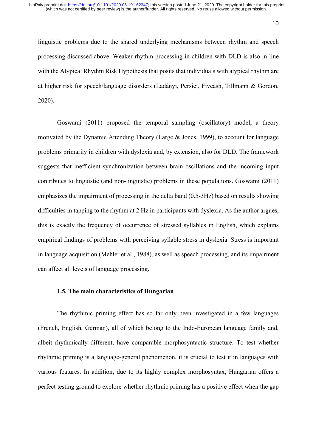linguistic problems due to the shared underlying mechanisms between rhythm and speech processing discussed above. Weaker rhythm processing in children with DLD is also in line with the Atypical Rhythm Risk Hypothesis that posits that individuals with atypical rhythm are at higher risk for speech/language disorders (Ladányi, Persici, Fiveash, Tillmann & Gordon, 2020).

Goswami (2011) proposed the temporal sampling (oscillatory) model, a theory motivated by the Dynamic Attending Theory (Large & Jones, 1999), to account for language problems primarily in children with dyslexia and, by extension, also for DLD. The framework suggests that inefficient synchronization between brain oscillations and the incoming input contributes to linguistic (and non-linguistic) problems in these populations. Goswami (2011) emphasizes the impairment of processing in the delta band (0.5-3Hz) based on results showing difficulties in tapping to the rhythm at 2 Hz in participants with dyslexia. As the author argues, this is exactly the frequency of occurrence of stressed syllables in English, which explains empirical findings of problems with perceiving syllable stress in dyslexia. Stress is important in language acquisition (Mehler et al., 1988), as well as speech processing, and its impairment can affect all levels of language processing.

#### **1.5. The main characteristics of Hungarian**

The rhythmic priming effect has so far only been investigated in a few languages (French, English, German), all of which belong to the Indo-European language family and, albeit rhythmically different, have comparable morphosyntactic structure. To test whether rhythmic priming is a language-general phenomenon, it is crucial to test it in languages with various features. In addition, due to its highly complex morphosyntax, Hungarian offers a perfect testing ground to explore whether rhythmic priming has a positive effect when the gap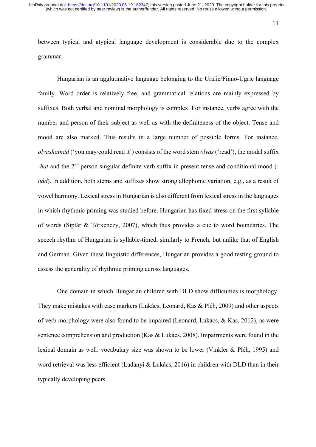between typical and atypical language development is considerable due to the complex grammar.

Hungarian is an agglutinative language belonging to the Uralic/Finno-Ugric language family. Word order is relatively free, and grammatical relations are mainly expressed by suffixes. Both verbal and nominal morphology is complex. For instance, verbs agree with the number and person of their subject as well as with the definiteness of the object. Tense and mood are also marked. This results in a large number of possible forms. For instance, *olvashatnád* ('you may/could read it') consists of the word stem *olvas* ('read'), the modal suffix *hat* and the 2<sup>nd</sup> person singular definite verb suffix in present tense and conditional mood (*nád*). In addition, both stems and suffixes show strong allophonic variation, e.g., as a result of vowel harmony. Lexical stress in Hungarian is also different from lexical stress in the languages in which rhythmic priming was studied before. Hungarian has fixed stress on the first syllable of words (Siptár & Törkenczy, 2007), which thus provides a cue to word boundaries. The speech rhythm of Hungarian is syllable-timed, similarly to French, but unlike that of English and German. Given these linguistic differences, Hungarian provides a good testing ground to assess the generality of rhythmic priming across languages.

One domain in which Hungarian children with DLD show difficulties is morphology. They make mistakes with case markers (Lukács, Leonard, Kas & Pléh, 2009) and other aspects of verb morphology were also found to be impaired (Leonard, Lukács, & Kas, 2012), as were sentence comprehension and production (Kas & Lukács, 2008). Impairments were found in the lexical domain as well: vocabulary size was shown to be lower (Vinkler & Pléh, 1995) and word retrieval was less efficient (Ladányi & Lukács, 2016) in children with DLD than in their typically developing peers.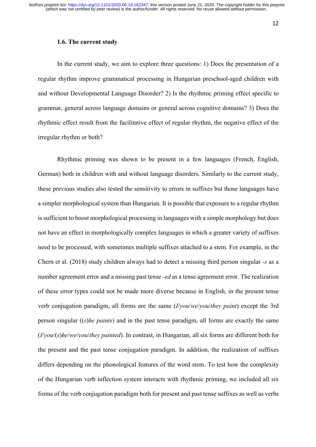# **1.6. The current study**

In the current study, we aim to explore three questions: 1) Does the presentation of a regular rhythm improve grammatical processing in Hungarian preschool-aged children with and without Developmental Language Disorder? 2) Is the rhythmic priming effect specific to grammar, general across language domains or general across cognitive domains? 3) Does the rhythmic effect result from the facilitative effect of regular rhythm, the negative effect of the irregular rhythm or both?

Rhythmic priming was shown to be present in a few languages (French, English, German) both in children with and without language disorders. Similarly to the current study, these previous studies also tested the sensitivity to errors in suffixes but those languages have a simpler morphological system than Hungarian. It is possible that exposure to a regular rhythm is sufficient to boost morphological processing in languages with a simple morphology but does not have an effect in morphologically complex languages in which a greater variety of suffixes need to be processed, with sometimes multiple suffixes attached to a stem. For example, in the Chern et al. (2018) study children always had to detect a missing third person singular *-s* as a number agreement error and a missing past tense *-ed* as a tense agreement error. The realization of these error types could not be made more diverse because in English, in the present tense verb conjugation paradigm, all forms are the same (*I*/*you*/*we*/*you*/*they paint*) except the 3rd person singular ((*s*)*he paints*) and in the past tense paradigm, all forms are exactly the same (*I*/*you*/(*s*)*he*/*we*/*you*/*they painted*). In contrast, in Hungarian, all six forms are different both for the present and the past tense conjugation paradigm. In addition, the realization of suffixes differs depending on the phonological features of the word stem. To test how the complexity of the Hungarian verb inflection system interacts with rhythmic priming, we included all six forms of the verb conjugation paradigm both for present and past tense suffixes as well as verbs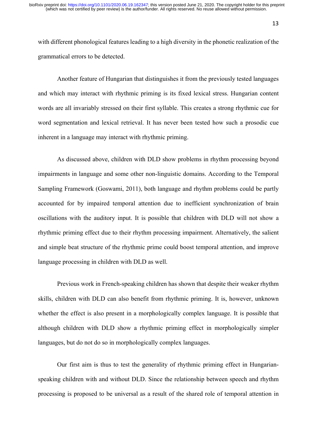with different phonological features leading to a high diversity in the phonetic realization of the grammatical errors to be detected.

Another feature of Hungarian that distinguishes it from the previously tested languages and which may interact with rhythmic priming is its fixed lexical stress. Hungarian content words are all invariably stressed on their first syllable. This creates a strong rhythmic cue for word segmentation and lexical retrieval. It has never been tested how such a prosodic cue inherent in a language may interact with rhythmic priming.

As discussed above, children with DLD show problems in rhythm processing beyond impairments in language and some other non-linguistic domains. According to the Temporal Sampling Framework (Goswami, 2011), both language and rhythm problems could be partly accounted for by impaired temporal attention due to inefficient synchronization of brain oscillations with the auditory input. It is possible that children with DLD will not show a rhythmic priming effect due to their rhythm processing impairment. Alternatively, the salient and simple beat structure of the rhythmic prime could boost temporal attention, and improve language processing in children with DLD as well.

Previous work in French-speaking children has shown that despite their weaker rhythm skills, children with DLD can also benefit from rhythmic priming. It is, however, unknown whether the effect is also present in a morphologically complex language. It is possible that although children with DLD show a rhythmic priming effect in morphologically simpler languages, but do not do so in morphologically complex languages.

Our first aim is thus to test the generality of rhythmic priming effect in Hungarianspeaking children with and without DLD. Since the relationship between speech and rhythm processing is proposed to be universal as a result of the shared role of temporal attention in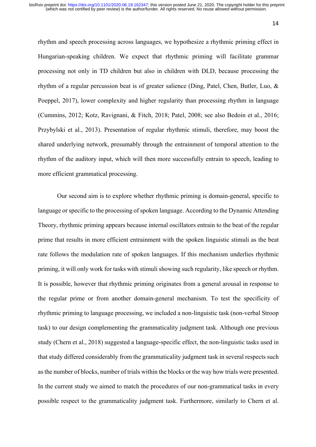rhythm and speech processing across languages, we hypothesize a rhythmic priming effect in Hungarian-speaking children. We expect that rhythmic priming will facilitate grammar processing not only in TD children but also in children with DLD, because processing the rhythm of a regular percussion beat is of greater salience (Ding, Patel, Chen, Butler, Luo, & Poeppel, 2017), lower complexity and higher regularity than processing rhythm in language (Cummins, 2012; Kotz, Ravignani, & Fitch, 2018; Patel, 2008; see also Bedoin et al., 2016; Przybylski et al., 2013). Presentation of regular rhythmic stimuli, therefore, may boost the shared underlying network, presumably through the entrainment of temporal attention to the rhythm of the auditory input, which will then more successfully entrain to speech, leading to more efficient grammatical processing.

Our second aim is to explore whether rhythmic priming is domain-general, specific to language or specific to the processing of spoken language. According to the Dynamic Attending Theory, rhythmic priming appears because internal oscillators entrain to the beat of the regular prime that results in more efficient entrainment with the spoken linguistic stimuli as the beat rate follows the modulation rate of spoken languages. If this mechanism underlies rhythmic priming, it will only work for tasks with stimuli showing such regularity, like speech or rhythm. It is possible, however that rhythmic priming originates from a general arousal in response to the regular prime or from another domain-general mechanism. To test the specificity of rhythmic priming to language processing, we included a non-linguistic task (non-verbal Stroop task) to our design complementing the grammaticality judgment task. Although one previous study (Chern et al., 2018) suggested a language-specific effect, the non-linguistic tasks used in that study differed considerably from the grammaticality judgment task in several respects such as the number of blocks, number of trials within the blocks or the way how trials were presented. In the current study we aimed to match the procedures of our non-grammatical tasks in every possible respect to the grammaticality judgment task. Furthermore, similarly to Chern et al.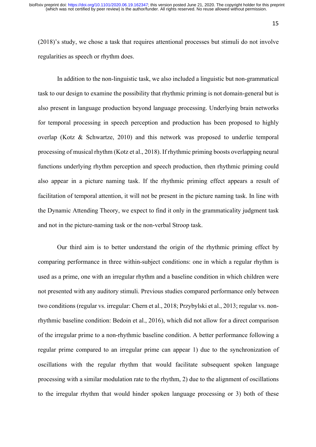(2018)'s study, we chose a task that requires attentional processes but stimuli do not involve regularities as speech or rhythm does.

In addition to the non-linguistic task, we also included a linguistic but non-grammatical task to our design to examine the possibility that rhythmic priming is not domain-general but is also present in language production beyond language processing. Underlying brain networks for temporal processing in speech perception and production has been proposed to highly overlap (Kotz & Schwartze, 2010) and this network was proposed to underlie temporal processing of musical rhythm (Kotz et al., 2018). If rhythmic priming boosts overlapping neural functions underlying rhythm perception and speech production, then rhythmic priming could also appear in a picture naming task. If the rhythmic priming effect appears a result of facilitation of temporal attention, it will not be present in the picture naming task. In line with the Dynamic Attending Theory, we expect to find it only in the grammaticality judgment task and not in the picture-naming task or the non-verbal Stroop task.

Our third aim is to better understand the origin of the rhythmic priming effect by comparing performance in three within-subject conditions: one in which a regular rhythm is used as a prime, one with an irregular rhythm and a baseline condition in which children were not presented with any auditory stimuli. Previous studies compared performance only between two conditions (regular vs. irregular: Chern et al., 2018; Przybylski et al., 2013; regular vs. nonrhythmic baseline condition: Bedoin et al., 2016), which did not allow for a direct comparison of the irregular prime to a non-rhythmic baseline condition. A better performance following a regular prime compared to an irregular prime can appear 1) due to the synchronization of oscillations with the regular rhythm that would facilitate subsequent spoken language processing with a similar modulation rate to the rhythm, 2) due to the alignment of oscillations to the irregular rhythm that would hinder spoken language processing or 3) both of these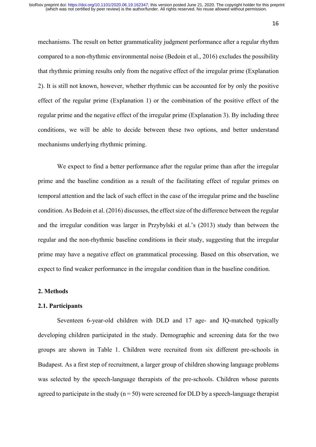mechanisms. The result on better grammaticality judgment performance after a regular rhythm compared to a non-rhythmic environmental noise (Bedoin et al., 2016) excludes the possibility that rhythmic priming results only from the negative effect of the irregular prime (Explanation 2). It is still not known, however, whether rhythmic can be accounted for by only the positive effect of the regular prime (Explanation 1) or the combination of the positive effect of the regular prime and the negative effect of the irregular prime (Explanation 3). By including three conditions, we will be able to decide between these two options, and better understand mechanisms underlying rhythmic priming.

We expect to find a better performance after the regular prime than after the irregular prime and the baseline condition as a result of the facilitating effect of regular primes on temporal attention and the lack of such effect in the case of the irregular prime and the baseline condition. As Bedoin et al. (2016) discusses, the effect size of the difference between the regular and the irregular condition was larger in Przybylski et al.'s (2013) study than between the regular and the non-rhythmic baseline conditions in their study, suggesting that the irregular prime may have a negative effect on grammatical processing. Based on this observation, we expect to find weaker performance in the irregular condition than in the baseline condition.

#### **2. Methods**

#### **2.1. Participants**

Seventeen 6-year-old children with DLD and 17 age- and IQ-matched typically developing children participated in the study. Demographic and screening data for the two groups are shown in Table 1. Children were recruited from six different pre-schools in Budapest. As a first step of recruitment, a larger group of children showing language problems was selected by the speech-language therapists of the pre-schools. Children whose parents agreed to participate in the study ( $n = 50$ ) were screened for DLD by a speech-language therapist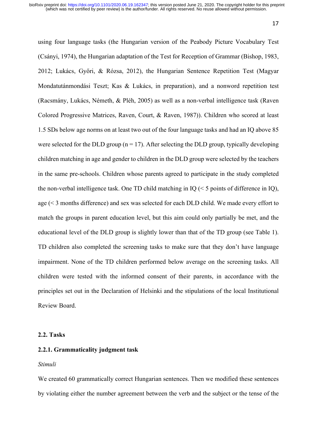using four language tasks (the Hungarian version of the Peabody Picture Vocabulary Test (Csányi, 1974), the Hungarian adaptation of the Test for Reception of Grammar (Bishop, 1983, 2012; Lukács, Győri, & Rózsa, 2012), the Hungarian Sentence Repetition Test (Magyar Mondatutánmondási Teszt; Kas & Lukács, in preparation), and a nonword repetition test (Racsmány, Lukács, Németh, & Pléh, 2005) as well as a non-verbal intelligence task (Raven Colored Progressive Matrices, Raven, Court, & Raven, 1987)). Children who scored at least 1.5 SDs below age norms on at least two out of the four language tasks and had an IQ above 85 were selected for the DLD group ( $n = 17$ ). After selecting the DLD group, typically developing children matching in age and gender to children in the DLD group were selected by the teachers in the same pre-schools. Children whose parents agreed to participate in the study completed the non-verbal intelligence task. One TD child matching in  $IQ \leq 5$  points of difference in  $IQ$ ), age (< 3 months difference) and sex was selected for each DLD child. We made every effort to match the groups in parent education level, but this aim could only partially be met, and the educational level of the DLD group is slightly lower than that of the TD group (see Table 1). TD children also completed the screening tasks to make sure that they don't have language impairment. None of the TD children performed below average on the screening tasks. All children were tested with the informed consent of their parents, in accordance with the principles set out in the Declaration of Helsinki and the stipulations of the local Institutional Review Board.

#### **2.2. Tasks**

## **2.2.1. Grammaticality judgment task**

## *Stimuli*

We created 60 grammatically correct Hungarian sentences. Then we modified these sentences by violating either the number agreement between the verb and the subject or the tense of the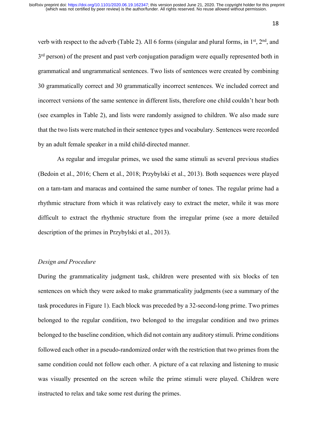verb with respect to the adverb (Table 2). All 6 forms (singular and plural forms, in  $1<sup>st</sup>$ ,  $2<sup>nd</sup>$ , and  $3<sup>rd</sup>$  person) of the present and past verb conjugation paradigm were equally represented both in grammatical and ungrammatical sentences. Two lists of sentences were created by combining 30 grammatically correct and 30 grammatically incorrect sentences. We included correct and incorrect versions of the same sentence in different lists, therefore one child couldn't hear both (see examples in Table 2), and lists were randomly assigned to children. We also made sure that the two lists were matched in their sentence types and vocabulary. Sentences were recorded by an adult female speaker in a mild child-directed manner.

As regular and irregular primes, we used the same stimuli as several previous studies (Bedoin et al., 2016; Chern et al., 2018; Przybylski et al., 2013). Both sequences were played on a tam-tam and maracas and contained the same number of tones. The regular prime had a rhythmic structure from which it was relatively easy to extract the meter, while it was more difficult to extract the rhythmic structure from the irregular prime (see a more detailed description of the primes in Przybylski et al., 2013).

#### *Design and Procedure*

During the grammaticality judgment task, children were presented with six blocks of ten sentences on which they were asked to make grammaticality judgments (see a summary of the task procedures in Figure 1). Each block was preceded by a 32-second-long prime. Two primes belonged to the regular condition, two belonged to the irregular condition and two primes belonged to the baseline condition, which did not contain any auditory stimuli. Prime conditions followed each other in a pseudo-randomized order with the restriction that two primes from the same condition could not follow each other. A picture of a cat relaxing and listening to music was visually presented on the screen while the prime stimuli were played. Children were instructed to relax and take some rest during the primes.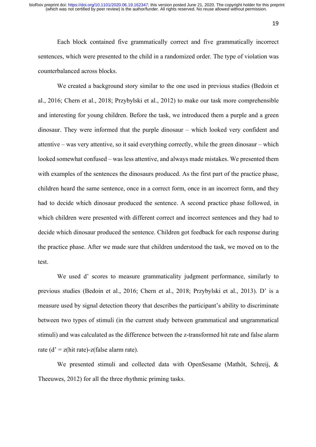Each block contained five grammatically correct and five grammatically incorrect sentences, which were presented to the child in a randomized order. The type of violation was counterbalanced across blocks.

We created a background story similar to the one used in previous studies (Bedoin et al., 2016; Chern et al., 2018; Przybylski et al., 2012) to make our task more comprehensible and interesting for young children. Before the task, we introduced them a purple and a green dinosaur. They were informed that the purple dinosaur – which looked very confident and attentive – was very attentive, so it said everything correctly, while the green dinosaur – which looked somewhat confused – was less attentive, and always made mistakes. We presented them with examples of the sentences the dinosaurs produced. As the first part of the practice phase, children heard the same sentence, once in a correct form, once in an incorrect form, and they had to decide which dinosaur produced the sentence. A second practice phase followed, in which children were presented with different correct and incorrect sentences and they had to decide which dinosaur produced the sentence. Children got feedback for each response during the practice phase. After we made sure that children understood the task, we moved on to the test.

We used d' scores to measure grammaticality judgment performance, similarly to previous studies (Bedoin et al., 2016; Chern et al., 2018; Przybylski et al., 2013). D' is a measure used by signal detection theory that describes the participant's ability to discriminate between two types of stimuli (in the current study between grammatical and ungrammatical stimuli) and was calculated as the difference between the z-transformed hit rate and false alarm rate ( $d' = z$ (hit rate)-z(false alarm rate).

We presented stimuli and collected data with OpenSesame (Mathôt, Schreij, & Theeuwes, 2012) for all the three rhythmic priming tasks.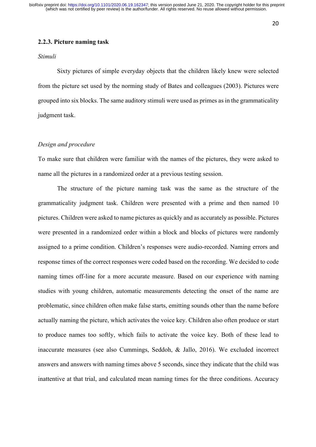# **2.2.3. Picture naming task**

# *Stimuli*

Sixty pictures of simple everyday objects that the children likely knew were selected from the picture set used by the norming study of Bates and colleagues (2003). Pictures were grouped into six blocks. The same auditory stimuli were used as primes as in the grammaticality judgment task.

#### *Design and procedure*

To make sure that children were familiar with the names of the pictures, they were asked to name all the pictures in a randomized order at a previous testing session.

The structure of the picture naming task was the same as the structure of the grammaticality judgment task. Children were presented with a prime and then named 10 pictures. Children were asked to name pictures as quickly and as accurately as possible. Pictures were presented in a randomized order within a block and blocks of pictures were randomly assigned to a prime condition. Children's responses were audio-recorded. Naming errors and response times of the correct responses were coded based on the recording. We decided to code naming times off-line for a more accurate measure. Based on our experience with naming studies with young children, automatic measurements detecting the onset of the name are problematic, since children often make false starts, emitting sounds other than the name before actually naming the picture, which activates the voice key. Children also often produce or start to produce names too softly, which fails to activate the voice key. Both of these lead to inaccurate measures (see also Cummings, Seddoh, & Jallo, 2016). We excluded incorrect answers and answers with naming times above 5 seconds, since they indicate that the child was inattentive at that trial, and calculated mean naming times for the three conditions. Accuracy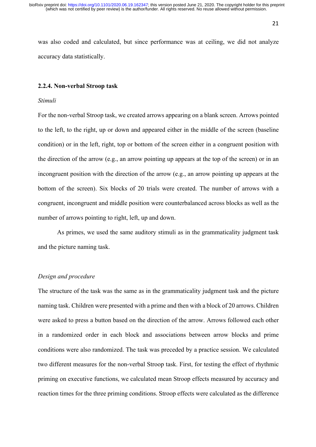was also coded and calculated, but since performance was at ceiling, we did not analyze accuracy data statistically.

#### **2.2.4. Non-verbal Stroop task**

#### *Stimuli*

For the non-verbal Stroop task, we created arrows appearing on a blank screen. Arrows pointed to the left, to the right, up or down and appeared either in the middle of the screen (baseline condition) or in the left, right, top or bottom of the screen either in a congruent position with the direction of the arrow (e.g., an arrow pointing up appears at the top of the screen) or in an incongruent position with the direction of the arrow (e.g., an arrow pointing up appears at the bottom of the screen). Six blocks of 20 trials were created. The number of arrows with a congruent, incongruent and middle position were counterbalanced across blocks as well as the number of arrows pointing to right, left, up and down.

As primes, we used the same auditory stimuli as in the grammaticality judgment task and the picture naming task.

# *Design and procedure*

The structure of the task was the same as in the grammaticality judgment task and the picture naming task. Children were presented with a prime and then with a block of 20 arrows. Children were asked to press a button based on the direction of the arrow. Arrows followed each other in a randomized order in each block and associations between arrow blocks and prime conditions were also randomized. The task was preceded by a practice session. We calculated two different measures for the non-verbal Stroop task. First, for testing the effect of rhythmic priming on executive functions, we calculated mean Stroop effects measured by accuracy and reaction times for the three priming conditions. Stroop effects were calculated as the difference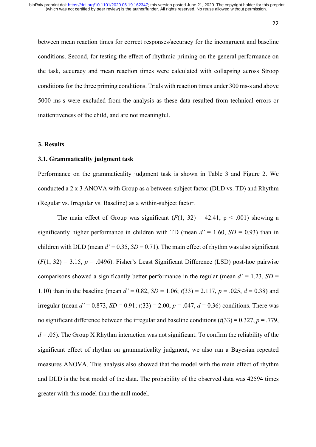between mean reaction times for correct responses/accuracy for the incongruent and baseline conditions. Second, for testing the effect of rhythmic priming on the general performance on the task, accuracy and mean reaction times were calculated with collapsing across Stroop conditions for the three priming conditions. Trials with reaction times under 300 ms-s and above 5000 ms-s were excluded from the analysis as these data resulted from technical errors or inattentiveness of the child, and are not meaningful.

### **3. Results**

#### **3.1. Grammaticality judgment task**

Performance on the grammaticality judgment task is shown in Table 3 and Figure 2. We conducted a 2 x 3 ANOVA with Group as a between-subject factor (DLD vs. TD) and Rhythm (Regular vs. Irregular vs. Baseline) as a within-subject factor.

The main effect of Group was significant  $(F(1, 32) = 42.41, p < .001)$  showing a significantly higher performance in children with TD (mean  $d' = 1.60$ ,  $SD = 0.93$ ) than in children with DLD (mean  $d' = 0.35$ ,  $SD = 0.71$ ). The main effect of rhythm was also significant  $(F(1, 32) = 3.15, p = .0496)$ . Fisher's Least Significant Difference (LSD) post-hoc pairwise comparisons showed a significantly better performance in the regular (mean  $d' = 1.23$ ,  $SD =$ 1.10) than in the baseline (mean  $d' = 0.82$ ,  $SD = 1.06$ ;  $t(33) = 2.117$ ,  $p = .025$ ,  $d = 0.38$ ) and irregular (mean  $d' = 0.873$ ,  $SD = 0.91$ ;  $t(33) = 2.00$ ,  $p = .047$ ,  $d = 0.36$ ) conditions. There was no significant difference between the irregular and baseline conditions  $(t(33) = 0.327, p = .779,$  $d = 0.05$ ). The Group X Rhythm interaction was not significant. To confirm the reliability of the significant effect of rhythm on grammaticality judgment, we also ran a Bayesian repeated measures ANOVA. This analysis also showed that the model with the main effect of rhythm and DLD is the best model of the data. The probability of the observed data was 42594 times greater with this model than the null model.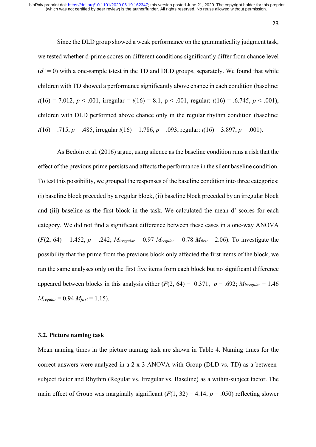Since the DLD group showed a weak performance on the grammaticality judgment task, we tested whether d-prime scores on different conditions significantly differ from chance level  $(d' = 0)$  with a one-sample t-test in the TD and DLD groups, separately. We found that while children with TD showed a performance significantly above chance in each condition (baseline:  $t(16) = 7.012, p < .001$ , irregular =  $t(16) = 8.1, p < .001$ , regular:  $t(16) = .6.745, p < .001$ ), children with DLD performed above chance only in the regular rhythm condition (baseline: *t*(16) = .715, *p* = .485, irregular *t*(16) = 1.786, *p* = .093, regular: *t*(16) = 3.897, *p* = .001).

As Bedoin et al. (2016) argue, using silence as the baseline condition runs a risk that the effect of the previous prime persists and affects the performance in the silent baseline condition. To test this possibility, we grouped the responses of the baseline condition into three categories: (i) baseline block preceded by a regular block, (ii) baseline block preceded by an irregular block and (iii) baseline as the first block in the task. We calculated the mean d' scores for each category. We did not find a significant difference between these cases in a one-way ANOVA  $(F(2, 64) = 1.452, p = .242; M_{irregular} = 0.97 M_{regular} = 0.78 M_{first} = 2.06$ . To investigate the possibility that the prime from the previous block only affected the first items of the block, we ran the same analyses only on the first five items from each block but no significant difference appeared between blocks in this analysis either  $(F(2, 64) = 0.371, p = .692; M_{irrecular} = 1.46$  $M_{regular} = 0.94 M_{first} = 1.15$ .

#### **3.2. Picture naming task**

Mean naming times in the picture naming task are shown in Table 4. Naming times for the correct answers were analyzed in a 2 x 3 ANOVA with Group (DLD vs. TD) as a betweensubject factor and Rhythm (Regular vs. Irregular vs. Baseline) as a within-subject factor. The main effect of Group was marginally significant  $(F(1, 32) = 4.14, p = .050)$  reflecting slower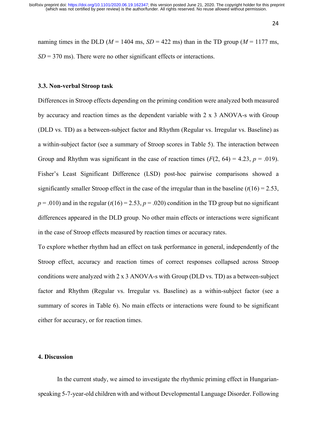naming times in the DLD ( $M = 1404$  ms,  $SD = 422$  ms) than in the TD group ( $M = 1177$  ms,  $SD = 370$  ms). There were no other significant effects or interactions.

#### **3.3. Non-verbal Stroop task**

Differences in Stroop effects depending on the priming condition were analyzed both measured by accuracy and reaction times as the dependent variable with 2 x 3 ANOVA-s with Group (DLD vs. TD) as a between-subject factor and Rhythm (Regular vs. Irregular vs. Baseline) as a within-subject factor (see a summary of Stroop scores in Table 5). The interaction between Group and Rhythm was significant in the case of reaction times  $(F(2, 64) = 4.23, p = .019)$ . Fisher's Least Significant Difference (LSD) post-hoc pairwise comparisons showed a significantly smaller Stroop effect in the case of the irregular than in the baseline  $(t(16) = 2.53$ ,  $p = .010$ ) and in the regular ( $t(16) = 2.53$ ,  $p = .020$ ) condition in the TD group but no significant differences appeared in the DLD group. No other main effects or interactions were significant in the case of Stroop effects measured by reaction times or accuracy rates.

To explore whether rhythm had an effect on task performance in general, independently of the Stroop effect, accuracy and reaction times of correct responses collapsed across Stroop conditions were analyzed with 2 x 3 ANOVA-s with Group (DLD vs. TD) as a between-subject factor and Rhythm (Regular vs. Irregular vs. Baseline) as a within-subject factor (see a summary of scores in Table 6). No main effects or interactions were found to be significant either for accuracy, or for reaction times.

## **4. Discussion**

In the current study, we aimed to investigate the rhythmic priming effect in Hungarianspeaking 5-7-year-old children with and without Developmental Language Disorder. Following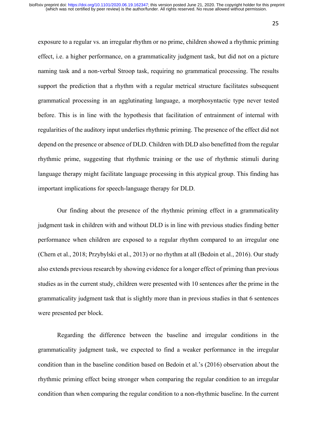exposure to a regular vs. an irregular rhythm or no prime, children showed a rhythmic priming effect, i.e. a higher performance, on a grammaticality judgment task, but did not on a picture naming task and a non-verbal Stroop task, requiring no grammatical processing. The results support the prediction that a rhythm with a regular metrical structure facilitates subsequent grammatical processing in an agglutinating language, a morphosyntactic type never tested before. This is in line with the hypothesis that facilitation of entrainment of internal with regularities of the auditory input underlies rhythmic priming. The presence of the effect did not depend on the presence or absence of DLD. Children with DLD also benefitted from the regular rhythmic prime, suggesting that rhythmic training or the use of rhythmic stimuli during language therapy might facilitate language processing in this atypical group. This finding has important implications for speech-language therapy for DLD.

Our finding about the presence of the rhythmic priming effect in a grammaticality judgment task in children with and without DLD is in line with previous studies finding better performance when children are exposed to a regular rhythm compared to an irregular one (Chern et al., 2018; Przybylski et al., 2013) or no rhythm at all (Bedoin et al., 2016). Our study also extends previous research by showing evidence for a longer effect of priming than previous studies as in the current study, children were presented with 10 sentences after the prime in the grammaticality judgment task that is slightly more than in previous studies in that 6 sentences were presented per block.

Regarding the difference between the baseline and irregular conditions in the grammaticality judgment task, we expected to find a weaker performance in the irregular condition than in the baseline condition based on Bedoin et al.'s (2016) observation about the rhythmic priming effect being stronger when comparing the regular condition to an irregular condition than when comparing the regular condition to a non-rhythmic baseline. In the current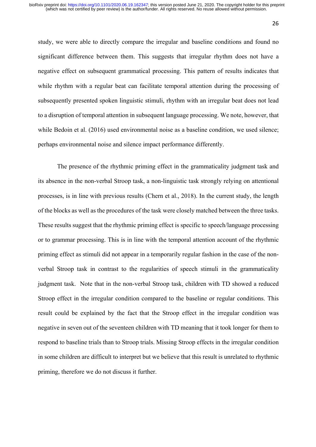study, we were able to directly compare the irregular and baseline conditions and found no significant difference between them. This suggests that irregular rhythm does not have a negative effect on subsequent grammatical processing. This pattern of results indicates that while rhythm with a regular beat can facilitate temporal attention during the processing of subsequently presented spoken linguistic stimuli, rhythm with an irregular beat does not lead to a disruption of temporal attention in subsequent language processing. We note, however, that while Bedoin et al. (2016) used environmental noise as a baseline condition, we used silence; perhaps environmental noise and silence impact performance differently.

The presence of the rhythmic priming effect in the grammaticality judgment task and its absence in the non-verbal Stroop task, a non-linguistic task strongly relying on attentional processes, is in line with previous results (Chern et al., 2018). In the current study, the length of the blocks as well as the procedures of the task were closely matched between the three tasks. These results suggest that the rhythmic priming effect is specific to speech/language processing or to grammar processing. This is in line with the temporal attention account of the rhythmic priming effect as stimuli did not appear in a temporarily regular fashion in the case of the nonverbal Stroop task in contrast to the regularities of speech stimuli in the grammaticality judgment task. Note that in the non-verbal Stroop task, children with TD showed a reduced Stroop effect in the irregular condition compared to the baseline or regular conditions. This result could be explained by the fact that the Stroop effect in the irregular condition was negative in seven out of the seventeen children with TD meaning that it took longer for them to respond to baseline trials than to Stroop trials. Missing Stroop effects in the irregular condition in some children are difficult to interpret but we believe that this result is unrelated to rhythmic priming, therefore we do not discuss it further.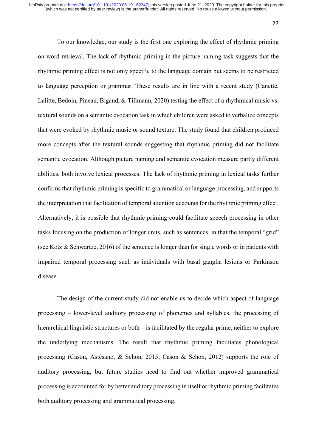To our knowledge, our study is the first one exploring the effect of rhythmic priming on word retrieval. The lack of rhythmic priming in the picture naming task suggests that the rhythmic priming effect is not only specific to the language domain but seems to be restricted to language perception or grammar. These results are in line with a recent study (Canette, Lalitte, Bedoin, Pineau, Bigand, & Tillmann, 2020) testing the effect of a rhythmical music vs. textural sounds on a semantic evocation task in which children were asked to verbalize concepts that were evoked by rhythmic music or sound texture. The study found that children produced more concepts after the textural sounds suggesting that rhythmic priming did not facilitate semantic evocation. Although picture naming and semantic evocation measure partly different abilities, both involve lexical processes. The lack of rhythmic priming in lexical tasks further confirms that rhythmic priming is specific to grammatical or language processing, and supports the interpretation that facilitation of temporal attention accounts for the rhythmic priming effect. Alternatively, it is possible that rhythmic priming could facilitate speech processing in other tasks focusing on the production of longer units, such as sentences in that the temporal "grid" (see Kotz & Schwartze, 2016) of the sentence is longer than for single words or in patients with impaired temporal processing such as individuals with basal ganglia lesions or Parkinson disease.

The design of the current study did not enable us to decide which aspect of language processing – lower-level auditory processing of phonemes and syllables, the processing of hierarchical linguistic structures or both – is facilitated by the regular prime, neither to explore the underlying mechanisms. The result that rhythmic priming facilitates phonological processing (Cason, Astésano, & Schön, 2015; Cason & Schön, 2012) supports the role of auditory processing, but future studies need to find out whether improved grammatical processing is accounted for by better auditory processing in itself or rhythmic priming facilitates both auditory processing and grammatical processing.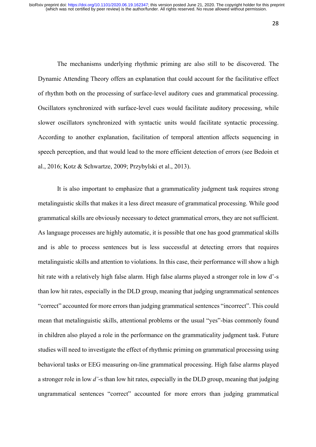The mechanisms underlying rhythmic priming are also still to be discovered. The Dynamic Attending Theory offers an explanation that could account for the facilitative effect of rhythm both on the processing of surface-level auditory cues and grammatical processing. Oscillators synchronized with surface-level cues would facilitate auditory processing, while slower oscillators synchronized with syntactic units would facilitate syntactic processing. According to another explanation, facilitation of temporal attention affects sequencing in speech perception, and that would lead to the more efficient detection of errors (see Bedoin et al., 2016; Kotz & Schwartze, 2009; Przybylski et al., 2013).

It is also important to emphasize that a grammaticality judgment task requires strong metalinguistic skills that makes it a less direct measure of grammatical processing. While good grammatical skills are obviously necessary to detect grammatical errors, they are not sufficient. As language processes are highly automatic, it is possible that one has good grammatical skills and is able to process sentences but is less successful at detecting errors that requires metalinguistic skills and attention to violations. In this case, their performance will show a high hit rate with a relatively high false alarm. High false alarms played a stronger role in low d'-s than low hit rates, especially in the DLD group, meaning that judging ungrammatical sentences "correct" accounted for more errors than judging grammatical sentences "incorrect". This could mean that metalinguistic skills, attentional problems or the usual "yes"-bias commonly found in children also played a role in the performance on the grammaticality judgment task. Future studies will need to investigate the effect of rhythmic priming on grammatical processing using behavioral tasks or EEG measuring on-line grammatical processing. High false alarms played a stronger role in low *d'*-s than low hit rates, especially in the DLD group, meaning that judging ungrammatical sentences "correct" accounted for more errors than judging grammatical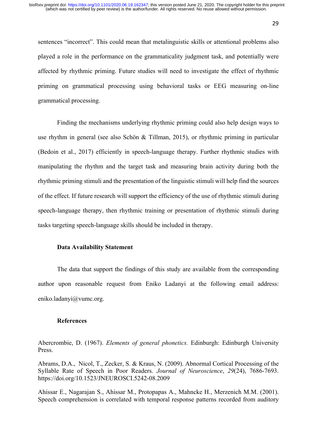sentences "incorrect". This could mean that metalinguistic skills or attentional problems also played a role in the performance on the grammaticality judgment task, and potentially were affected by rhythmic priming. Future studies will need to investigate the effect of rhythmic priming on grammatical processing using behavioral tasks or EEG measuring on-line grammatical processing.

Finding the mechanisms underlying rhythmic priming could also help design ways to use rhythm in general (see also Schön & Tillman, 2015), or rhythmic priming in particular (Bedoin et al., 2017) efficiently in speech-language therapy. Further rhythmic studies with manipulating the rhythm and the target task and measuring brain activity during both the rhythmic priming stimuli and the presentation of the linguistic stimuli will help find the sources of the effect. If future research will support the efficiency of the use of rhythmic stimuli during speech-language therapy, then rhythmic training or presentation of rhythmic stimuli during tasks targeting speech-language skills should be included in therapy.

# **Data Availability Statement**

The data that support the findings of this study are available from the corresponding author upon reasonable request from Eniko Ladanyi at the following email address: eniko.ladanyi@vumc.org.

# **References**

Abercrombie, D. (1967). *Elements of general phonetics.* Edinburgh: Edinburgh University Press.

Abrams, D.A., Nicol, T., Zecker, S. & Kraus, N. (2009). Abnormal Cortical Processing of the Syllable Rate of Speech in Poor Readers. *Journal of Neuroscience*, *29*(24), 7686-7693. https://doi.org/10.1523/JNEUROSCI.5242-08.2009

Ahissar E., Nagarajan S., Ahissar M., Protopapas A., Mahncke H., Merzenich M.M. (2001). Speech comprehension is correlated with temporal response patterns recorded from auditory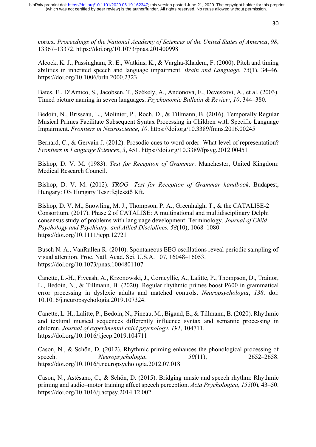cortex. *Proceedings of the National Academy of Sciences of the United States of America*, *98*, 13367–13372. https://doi.org/10.1073/pnas.201400998

Alcock, K. J., Passingham, R. E., Watkins, K., & Vargha-Khadem, F. (2000). Pitch and timing abilities in inherited speech and language impairment. *Brain and Language*, *75*(1), 34–46. https://doi.org/10.1006/brln.2000.2323

Bates, E., D'Amico, S., Jacobsen, T., Székely, A., Andonova, E., Devescovi, A., et al. (2003). Timed picture naming in seven languages. *Psychonomic Bulletin & Review*, *10*, 344–380.

Bedoin, N., Brisseau, L., Molinier, P., Roch, D., & Tillmann, B. (2016). Temporally Regular Musical Primes Facilitate Subsequent Syntax Processing in Children with Specific Language Impairment. *Frontiers in Neuroscience*, *10*. https://doi.org/10.3389/fnins.2016.00245

Bernard, C., & Gervain J. (2012). Prosodic cues to word order: What level of representation? *Frontiers in Language Sciences*, *3*, 451. https://doi.org/10.3389/fpsyg.2012.00451

Bishop, D. V. M. (1983). *Test for Reception of Grammar*. Manchester, United Kingdom: Medical Research Council.

Bishop, D. V. M. (2012). *TROG—Test for Reception of Grammar handbook*. Budapest, Hungary: OS Hungary Tesztfejlesztő Kft.

Bishop, D. V. M., Snowling, M. J., Thompson, P. A., Greenhalgh, T., & the CATALISE-2 Consortium. (2017). Phase 2 of CATALISE: A multinational and multidisciplinary Delphi consensus study of problems with lang uage development: Terminology. *Journal of Child Psychology and Psychiatry, and Allied Disciplines, 58*(10), 1068–1080. https://doi.org/10.1111/jcpp.12721

Busch N. A., VanRullen R. (2010). Spontaneous EEG oscillations reveal periodic sampling of visual attention. Proc. Natl. Acad. Sci. U.S.A. 107, 16048–16053. https://doi.org/10.1073/pnas.1004801107

Canette, L.-H., Fiveash, A., Krzonowski, J., Corneyllie, A., Lalitte, P., Thompson, D., Trainor, L., Bedoin, N., & Tillmann, B. (2020). Regular rhythmic primes boost P600 in grammatical error processing in dyslexic adults and matched controls. *Neuropsychologia*, *138*. doi: 10.1016/j.neuropsychologia.2019.107324.

Canette, L. H., Lalitte, P., Bedoin, N., Pineau, M., Bigand, E., & Tillmann, B. (2020). Rhythmic and textural musical sequences differently influence syntax and semantic processing in children. *Journal of experimental child psychology*, *191*, 104711. https://doi.org/10.1016/j.jecp.2019.104711

Cason, N., & Schön, D. (2012). Rhythmic priming enhances the phonological processing of speech. *Neuropsychologia*, *50*(11), 2652–2658. https://doi.org/10.1016/j.neuropsychologia.2012.07.018

Cason, N., Astésano, C., & Schön, D. (2015). Bridging music and speech rhythm: Rhythmic priming and audio–motor training affect speech perception. *Acta Psychologica*, *155*(0), 43–50. https://doi.org/10.1016/j.actpsy.2014.12.002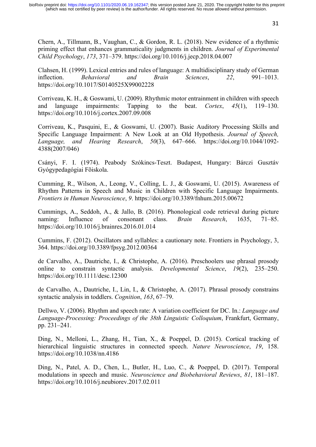Chern, A., Tillmann, B., Vaughan, C., & Gordon, R. L. (2018). New evidence of a rhythmic priming effect that enhances grammaticality judgments in children. *Journal of Experimental Child Psychology*, *173*, 371–379. https://doi.org/10.1016/j.jecp.2018.04.007

Clahsen, H. (1999). Lexical entries and rules of language: A multidisciplinary study of German inflection. *Behavioral and Brain Sciences*, *22*, 991–1013. https://doi.org/10.1017/S0140525X99002228

Corriveau, K. H., & Goswami, U. (2009). Rhythmic motor entrainment in children with speech and language impairments: Tapping to the beat. *Cortex*, *45*(1), 119–130. https://doi.org/10.1016/j.cortex.2007.09.008

Corriveau, K., Pasquini, E., & Goswami, U. (2007). Basic Auditory Processing Skills and Specific Language Impairment: A New Look at an Old Hypothesis. *Journal of Speech, Language, and Hearing Research*, *50*(3), 647–666. https://doi.org/10.1044/1092- 4388(2007/046)

Csányi, F. I. (1974). Peabody Szókincs-Teszt. Budapest, Hungary: Bárczi Gusztáv Gyógypedagógiai Fõiskola.

Cumming, R., Wilson, A., Leong, V., Colling, L. J., & Goswami, U. (2015). Awareness of Rhythm Patterns in Speech and Music in Children with Specific Language Impairments. *Frontiers in Human Neuroscience*, *9*. https://doi.org/10.3389/fnhum.2015.00672

Cummings, A., Seddoh, A., & Jallo, B. (2016). Phonological code retrieval during picture naming: Influence of consonant class. *Brain Research*, 1635, 71–85. https://doi.org/10.1016/j.brainres.2016.01.014

Cummins, F. (2012). Oscillators and syllables: a cautionary note. Frontiers in Psychology, 3, 364. https://doi.org/10.3389/fpsyg.2012.00364

de Carvalho, A., Dautriche, I., & Christophe, A. (2016). Preschoolers use phrasal prosody online to constrain syntactic analysis. *Developmental Science*, *19*(2), 235–250. https://doi.org/10.1111/desc.12300

de Carvalho, A., Dautriche, I., Lin, I., & Christophe, A. (2017). Phrasal prosody constrains syntactic analysis in toddlers. *Cognition*, *163*, 67–79.

Dellwo, V. (2006). Rhythm and speech rate: A variation coefficient for DC. In.: *Language and Language-Processing: Proceedings of the 38th Linguistic Colloquium*, Frankfurt, Germany, pp. 231–241.

Ding, N., Melloni, L., Zhang, H., Tian, X., & Poeppel, D. (2015). Cortical tracking of hierarchical linguistic structures in connected speech. *Nature Neuroscience*, *19*, 158. https://doi.org/10.1038/nn.4186

Ding, N., Patel, A. D., Chen, L., Butler, H., Luo, C., & Poeppel, D. (2017). Temporal modulations in speech and music. *Neuroscience and Biobehavioral Reviews*, *81*, 181–187. https://doi.org/10.1016/j.neubiorev.2017.02.011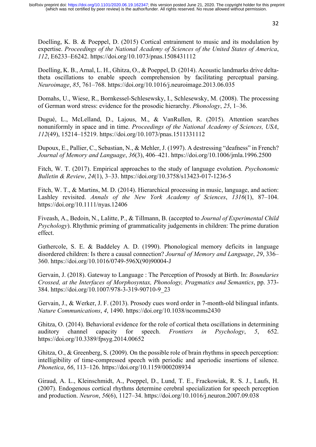Doelling, K. B. & Poeppel, D. (2015) Cortical entrainment to music and its modulation by expertise. *Proceedings of the National Academy of Sciences of the United States of America*, *112*, E6233–E6242. https://doi.org/10.1073/pnas.1508431112

Doelling, K. B., Arnal, L. H., Ghitza, O., & Poeppel, D. (2014). Acoustic landmarks drive deltatheta oscillations to enable speech comprehension by facilitating perceptual parsing. *Neuroimage*, *85*, 761–768. https://doi.org/10.1016/j.neuroimage.2013.06.035

Domahs, U., Wiese, R., Bornkessel-Schlesewsky, I., Schlesewsky, M. (2008). The processing of German word stress: evidence for the prosodic hierarchy. *Phonology*, *25*, 1–36.

Dugué, L., McLelland, D., Lajous, M., & VanRullen, R. (2015). Attention searches nonuniformly in space and in time. *Proceedings of the National Academy of Sciences, USA*, *112*(49), 15214–15219. https://doi.org/10.1073/pnas.1511331112

Dupoux, E., Pallier, C., Sebastian, N., & Mehler, J. (1997). A destressing "deafness" in French? *Journal of Memory and Language*, *36*(3), 406–421. https://doi.org/10.1006/jmla.1996.2500

Fitch, W. T. (2017). Empirical approaches to the study of language evolution. *Psychonomic Bulletin & Review*, *24*(1), 3–33. https://doi.org/10.3758/s13423-017-1236-5

Fitch, W. T., & Martins, M. D. (2014). Hierarchical processing in music, language, and action: Lashley revisited. *Annals of the New York Academy of Sciences*, *1316*(1), 87–104. https://doi.org/10.1111/nyas.12406

Fiveash, A., Bedoin, N., Lalitte, P., & Tillmann, B. (accepted to *Journal of Experimental Child Psychology*). Rhythmic priming of grammaticality judgements in children: The prime duration effect.

Gathercole, S. E. & Baddeley A. D. (1990). Phonological memory deficits in language disordered children: Is there a causal connection? *Journal of Memory and Language*, *29*, 336– 360. https://doi.org/10.1016/0749-596X(90)90004-J

Gervain, J. (2018). Gateway to Language : The Perception of Prosody at Birth. In: *Boundaries Crossed, at the Interfaces of Morphosyntax, Phonology, Pragmatics and Semantics*, pp. 373- 384. https://doi.org/10.1007/978-3-319-90710-9\_23

Gervain, J., & Werker, J. F. (2013). Prosody cues word order in 7-month-old bilingual infants. *Nature Communications*, *4*, 1490. https://doi.org/10.1038/ncomms2430

Ghitza, O. (2014). Behavioral evidence for the role of cortical theta oscillations in determining auditory channel capacity for speech. *Frontiers in Psychology*, *5*, 652. https://doi.org/10.3389/fpsyg.2014.00652

Ghitza, O., & Greenberg, S. (2009). On the possible role of brain rhythms in speech perception: intelligibility of time-compressed speech with periodic and aperiodic insertions of silence. *Phonetica*, *66*, 113–126. https://doi.org/10.1159/000208934

Giraud, A. L., Kleinschmidt, A., Poeppel, D., Lund, T. E., Frackowiak, R. S. J., Laufs, H. (2007). Endogenous cortical rhythms determine cerebral specialization for speech perception and production. *Neuron*, *56*(6), 1127–34. https://doi.org/10.1016/j.neuron.2007.09.038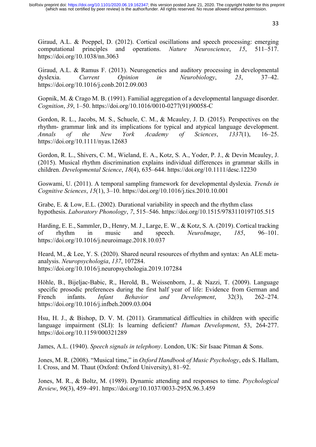Giraud, A.L. & Poeppel, D. (2012). Cortical oscillations and speech processing: emerging computational principles and operations. *Nature Neuroscience*, *15*, 511–517. https://doi.org/10.1038/nn.3063

Giraud, A.L. & Ramus F. (2013). Neurogenetics and auditory processing in developmental dyslexia. *Current Opinion in Neurobiology*, *23*, 37–42. https://doi.org/10.1016/j.conb.2012.09.003

Gopnik, M. & Crago M. B. (1991). Familial aggregation of a developmental language disorder. *Cognition*, *39*, 1–50. https://doi.org/10.1016/0010-0277(91)90058-C

Gordon, R. L., Jacobs, M. S., Schuele, C. M., & Mcauley, J. D. (2015). Perspectives on the rhythm- grammar link and its implications for typical and atypical language development. *Annals of the New York Academy of Sciences*, *1337*(1), 16–25. https://doi.org/10.1111/nyas.12683

Gordon, R. L., Shivers, C. M., Wieland, E. A., Kotz, S. A., Yoder, P. J., & Devin Mcauley, J. (2015). Musical rhythm discrimination explains individual differences in grammar skills in children. *Developmental Science*, *18*(4), 635–644. https://doi.org/10.1111/desc.12230

Goswami, U. (2011). A temporal sampling framework for developmental dyslexia. *Trends in Cognitive Sciences*, *15*(1), 3–10. https://doi.org/10.1016/j.tics.2010.10.001

Grabe, E. & Low, E.L. (2002). Durational variability in speech and the rhythm class hypothesis. *Laboratory Phonology*, *7*, 515–546. https://doi.org/10.1515/9783110197105.515

Harding, E. E., Sammler, D., Henry, M. J., Large, E. W., & Kotz, S. A. (2019). Cortical tracking of rhythm in music and speech. *NeuroImage*, *185*, 96–101. https://doi.org/10.1016/j.neuroimage.2018.10.037

Heard, M., & Lee, Y. S. (2020). Shared neural resources of rhythm and syntax: An ALE metaanalysis. *Neuropsychologia*, *137*, 107284. https://doi.org/10.1016/j.neuropsychologia.2019.107284

Höhle, B., Bijeljac-Babic, R., Herold, B., Weissenborn, J., & Nazzi, T. (2009). Language specific prosodic preferences during the first half year of life: Evidence from German and French infants. *Infant Behavior and Development*, 32(3), 262–274. https://doi.org/10.1016/j.infbeh.2009.03.004

Hsu, H. J., & Bishop, D. V. M. (2011). Grammatical difficulties in children with specific language impairment (SLI): Is learning deficient? *Human Development*, 53, 264-277. https://doi.org/10.1159/000321289

James, A.L. (1940). *Speech signals in telephony*. London, UK: Sir Isaac Pitman & Sons.

Jones, M. R. (2008). "Musical time," in *Oxford Handbook of Music Psychology*, eds S. Hallam, I. Cross, and M. Thaut (Oxford: Oxford University), 81–92.

Jones, M. R., & Boltz, M. (1989). Dynamic attending and responses to time. *Psychological Review*, *96*(3), 459–491. https://doi.org/10.1037/0033-295X.96.3.459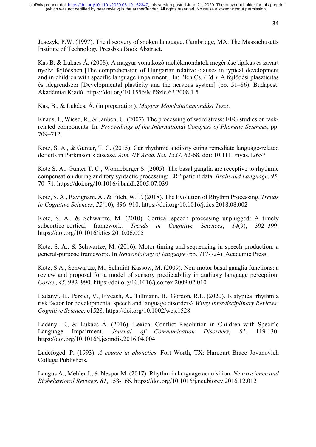Jusczyk, P.W. (1997). The discovery of spoken language. Cambridge, MA: The Massachusetts Institute of Technology Pressbka Book Abstract.

Kas B. & Lukács Á. (2008). A magyar vonatkozó mellékmondatok megértése tipikus és zavart nyelvi fejlőésben [The comprehension of Hungarian relative clauses in typical development and in children with specific language impairment]. In: Pléh Cs. (Ed.): A fejlődési plaszticitás és idegrendszer [Developmental plasticity and the nervous system] (pp. 51–86). Budapest: Akadémiai Kiadó. https://doi.org/10.1556/MPSzle.63.2008.1.5

Kas, B., & Lukács, Á. (in preparation). *Magyar Mondatutánmondási Teszt*.

Knaus, J., Wiese, R., & Janben, U. (2007). The processing of word stress: EEG studies on taskrelated components. In: *Proceedings of the International Congress of Phonetic Sciences*, pp. 709–712.

Kotz, S. A., & Gunter, T. C. (2015). Can rhythmic auditory cuing remediate language-related deficits in Parkinson's disease. *Ann. NY Acad. Sci*, *1337*, 62-68. doi: 10.1111/nyas.12657

Kotz S. A., Gunter T. C., Wonneberger S. (2005). The basal ganglia are receptive to rhythmic compensation during auditory syntactic processing: ERP patient data. *Brain and Language*, *95*, 70–71. https://doi.org/10.1016/j.bandl.2005.07.039

Kotz, S. A., Ravignani, A., & Fitch, W. T. (2018). The Evolution of Rhythm Processing. *Trends in Cognitive Sciences*, *22*(10), 896–910. https://doi.org/10.1016/j.tics.2018.08.002

Kotz, S. A., & Schwartze, M. (2010). Cortical speech processing unplugged: A timely subcortico-cortical framework. *Trends in Cognitive Sciences*, *14*(9), 392–399. https://doi.org/10.1016/j.tics.2010.06.005

Kotz, S. A., & Schwartze, M. (2016). Motor-timing and sequencing in speech production: a general-purpose framework. In *Neurobiology of language* (pp. 717-724). Academic Press.

Kotz, S.A., Schwartze, M., Schmidt-Kassow, M. (2009). Non-motor basal ganglia functions: a review and proposal for a model of sensory predictability in auditory language perception. *Cortex*, *45*, 982–990. https://doi.org/10.1016/j.cortex.2009.02.010

Ladányi, E., Persici, V., Fiveash, A., Tillmann, B., Gordon, R.L. (2020). Is atypical rhythm a risk factor for developmental speech and language disorders? *Wiley Interdisciplinary Reviews: Cognitive Science*, e1528. https://doi.org/10.1002/wcs.1528

Ladányi E., & Lukács Á. (2016). Lexical Conflict Resolution in Children with Specific Language Impairment. *Journal of Communication Disorders*, *61*, 119-130. https://doi.org/10.1016/j.jcomdis.2016.04.004

Ladefoged, P. (1993). *A course in phonetics*. Fort Worth, TX: Harcourt Brace Jovanovich College Publishers.

Langus A., Mehler J., & Nespor M. (2017). Rhythm in language acquisition. *Neuroscience and Biobehavioral Reviews*, *81*, 158-166. https://doi.org/10.1016/j.neubiorev.2016.12.012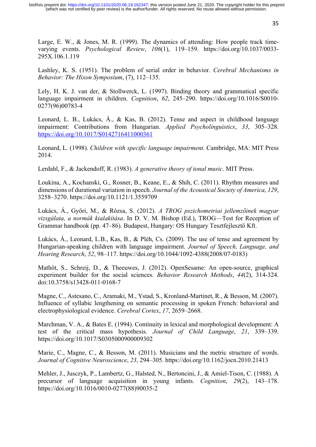Large, E. W., & Jones, M. R. (1999). The dynamics of attending: How people track timevarying events. *Psychological Review*, *106*(1), 119–159. https://doi.org/10.1037/0033- 295X.106.1.119

Lashley, K. S. (1951). The problem of serial order in behavior. *Cerebral Mechanisms in Behavior: The Hixon Symposium*, (7), 112–135.

Lely, H. K. J. van der, & Stollwerck, L. (1997). Binding theory and grammatical specific language impairment in children. *Cognition*, *62*, 245–290. https://doi.org/10.1016/S0010- 0277(96)00783-4

Leonard, L. B., Lukács, Á., & Kas, B. (2012). Tense and aspect in childhood language impairment: Contributions from Hungarian. *Applied Psycholinguistics*, *33*, 305–328. https://doi.org/10.1017/S0142716411000361

Leonard, L. (1998). *Children with specific language impairment*. Cambridge, MA: MIT Press 2014.

Lerdahl, F., & Jackendoff, R. (1983). *A generative theory of tonal music*. MIT Press.

Loukina, A., Kochanski, G., Rosner, B., Keane, E., & Shih, C. (2011). Rhythm measures and dimensions of durational variation in speech. *Journal of the Acoustical Society of America*, *129*, 3258–3270. https://doi.org/10.1121/1.3559709

Lukács, Á., Győri, M., & Rózsa, S. (2012). *A TROG pszichometriai jellemzőinek magyar vizsgálata, a normák kialakítása*. In D. V. M. Bishop (Ed.), TROG—Test for Reception of Grammar handbook (pp. 47–86). Budapest, Hungary: OS Hungary Tesztfejlesztő Kft.

Lukács, Á., Leonard, L.B., Kas, B., & Pléh, Cs. (2009). The use of tense and agreement by Hungarian-speaking children with language impairment. *Journal of Speech, Language, and Hearing Research*, *52*, 98–117. https://doi.org/10.1044/1092-4388(2008/07-0183)

Mathôt, S., Schreij, D., & Theeuwes, J. (2012). OpenSesame: An open-source, graphical experiment builder for the social sciences. *Behavior Research Methods*, *44*(2), 314-324. doi:10.3758/s13428-011-0168-7

Magne, C., Astesano, C., Aramaki, M., Ystad, S., Kronland-Martinet, R., & Besson, M. (2007). Influence of syllabic lengthening on semantic processing in spoken French: behavioral and electrophysiological evidence. *Cerebral Cortex*, *17*, 2659–2668.

Marchman, V. A., & Bates E. (1994). Continuity in lexical and morphological development: A test of the critical mass hypothesis. *Journal of Child Language*, *21*, 339–339. https://doi.org/10.1017/S0305000900009302

Marie, C., Magne, C., & Besson, M. (2011). Musicians and the metric structure of words. *Journal of Cognitive Neuroscience*, *23*, 294–305. https://doi.org/10.1162/jocn.2010.21413

Mehler, J., Jusczyk, P., Lambertz, G., Halsted, N., Bertoncini, J., & Amiel-Tison, C. (1988). A precursor of language acquisition in young infants. *Cognition*, *29*(2), 143–178. https://doi.org/10.1016/0010-0277(88)90035-2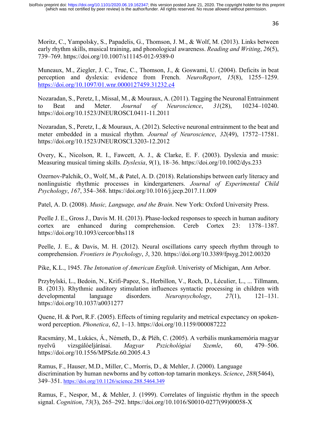Moritz, C., Yampolsky, S., Papadelis, G., Thomson, J. M., & Wolf, M. (2013). Links between early rhythm skills, musical training, and phonological awareness. *Reading and Writing*, *26*(5), 739–769. https://doi.org/10.1007/s11145-012-9389-0

Muneaux, M., Ziegler, J. C., Truc, C., Thomson, J., & Goswami, U. (2004). Deficits in beat perception and dyslexia: evidence from French. *NeuroReport*, *15*(8), 1255–1259. https://doi.org/10.1097/01.wnr.0000127459.31232.c4

Nozaradan, S., Peretz, I., Missal, M., & Mouraux, A. (2011). Tagging the Neuronal Entrainment to Beat and Meter. *Journal of Neuroscience*, *31*(28), 10234–10240. https://doi.org/10.1523/JNEUROSCI.0411-11.2011

Nozaradan, S., Peretz, I., & Mouraux, A. (2012). Selective neuronal entrainment to the beat and meter embedded in a musical rhythm. *Journal of Neuroscience*, *32*(49), 17572–17581. https://doi.org/10.1523/JNEUROSCI.3203-12.2012

Overy, K., Nicolson, R. I., Fawcett, A. J., & Clarke, E. F. (2003). Dyslexia and music: Measuring musical timing skills. *Dyslexia*, *9*(1), 18–36. https://doi.org/10.1002/dys.233

Ozernov-Palchik, O., Wolf, M., & Patel, A. D. (2018). Relationships between early literacy and nonlinguistic rhythmic processes in kindergarteners. *Journal of Experimental Child Psychology*, *167*, 354–368. https://doi.org/10.1016/j.jecp.2017.11.009

Patel, A. D. (2008). *Music, Language, and the Brain*. New York: Oxford University Press.

Peelle J. E., Gross J., Davis M. H. (2013). Phase-locked responses to speech in human auditory cortex are enhanced during comprehension. Cereb Cortex 23: 1378–1387. https://doi.org/10.1093/cercor/bhs118

Peelle, J. E., & Davis, M. H. (2012). Neural oscillations carry speech rhythm through to comprehension. *Frontiers in Psychology*, *3*, 320. https://doi.org/10.3389/fpsyg.2012.00320

Pike, K.L., 1945. *The Intonation of American English*. Univeristy of Michigan, Ann Arbor.

Przybylski, L., Bedoin, N., Krifi-Papoz, S., Herbillon, V., Roch, D., Léculier, L., ... Tillmann, B. (2013). Rhythmic auditory stimulation influences syntactic processing in children with developmental language disorders. *Neuropsychology*, *27*(1), 121–131. https://doi.org/10.1037/a0031277

Quene, H. & Port, R.F. (2005). Effects of timing regularity and metrical expectancy on spokenword perception. *Phonetica*, *62*, 1–13. https://doi.org/10.1159/000087222

Racsmány, M., Lukács, Á., Németh, D., & Pléh, C. (2005). A verbális munkamemória magyar nyelvű vizsgálóeljárásai. *Magyar Pszichológiai Szemle*, 60, 479–506. https://doi.org/10.1556/MPSzle.60.2005.4.3

Ramus, F., Hauser, M.D., Miller, C., Morris, D., & Mehler, J. (2000). Language discrimination by human newborns and by cotton-top tamarin monkeys. *Science*, *288*(5464), 349–351. https://doi.org/10.1126/science.288.5464.349

Ramus, F., Nespor, M., & Mehler, J. (1999). Correlates of linguistic rhythm in the speech signal. *Cognition*, *73*(3), 265–292. https://doi.org/10.1016/S0010-0277(99)00058-X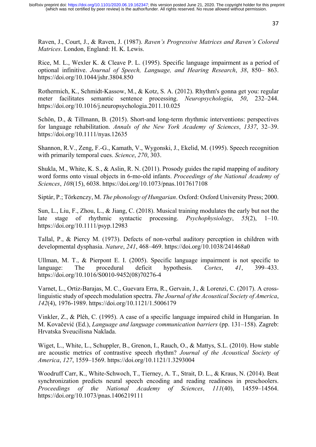Raven, J., Court, J., & Raven, J. (1987). *Raven's Progressive Matrices and Raven's Colored Matrices*. London, England: H. K. Lewis.

Rice, M. L., Wexler K. & Cleave P. L. (1995). Specific language impairment as a period of optional infinitive. *Journal of Speech, Language, and Hearing Research*, *38*, 850– 863. https://doi.org/10.1044/jshr.3804.850

Rothermich, K., Schmidt-Kassow, M., & Kotz, S. A. (2012). Rhythm's gonna get you: regular meter facilitates semantic sentence processing. *Neuropsychologia*, *50*, 232–244. https://doi.org/10.1016/j.neuropsychologia.2011.10.025

Schön, D., & Tillmann, B. (2015). Short-and long-term rhythmic interventions: perspectives for language rehabilitation. *Annals of the New York Academy of Sciences*, *1337*, 32–39. https://doi.org/10.1111/nyas.12635

Shannon, R.V., Zeng, F.-G., Kamath, V., Wygonski, J., Ekelid, M. (1995). Speech recognition with primarily temporal cues. *Science*, *270*, 303.

Shukla, M., White, K. S., & Aslin, R. N. (2011). Prosody guides the rapid mapping of auditory word forms onto visual objects in 6-mo-old infants. *Proceedings of the National Academy of Sciences*, *108*(15), 6038. https://doi.org/10.1073/pnas.1017617108

Siptár, P.; Törkenczy, M. *The phonology of Hungarian*. Oxford: Oxford University Press; 2000.

Sun, L., Liu, F., Zhou, L., & Jiang, C. (2018). Musical training modulates the early but not the late stage of rhythmic syntactic processing. *Psychophysiology*, *55*(2), 1–10. https://doi.org/10.1111/psyp.12983

Tallal, P., & Piercy M. (1973). Defects of non-verbal auditory perception in children with developmental dysphasia. *Nature*, *241*, 468–469. https://doi.org/10.1038/241468a0

Ullman, M. T., & Pierpont E. I. (2005). Specific language impairment is not specific to language: The procedural deficit hypothesis. *Cortex*, *41*, 399–433. https://doi.org/10.1016/S0010-9452(08)70276-4

Varnet, L., Ortiz-Barajas, M. C., Guevara Erra, R., Gervain, J., & Lorenzi, C. (2017). A crosslinguistic study of speech modulation spectra. *The Journal of the Acoustical Society of America*, *142*(4), 1976-1989. https://doi.org/10.1121/1.5006179

Vinkler, Z., & Pléh, C. (1995). A case of a specific language impaired child in Hungarian. In M. Kovačević (Ed.), *Language and language communication barriers* (pp. 131–158). Zagreb: Hrvatska Sveucilisna Naklada.

Wiget, L., White, L., Schuppler, B., Grenon, I., Rauch, O., & Mattys, S.L. (2010). How stable are acoustic metrics of contrastive speech rhythm? *Journal of the Acoustical Society of America*, *127*, 1559–1569. https://doi.org/10.1121/1.3293004

Woodruff Carr, K., White-Schwoch, T., Tierney, A. T., Strait, D. L., & Kraus, N. (2014). Beat synchronization predicts neural speech encoding and reading readiness in preschoolers. *Proceedings of the National Academy of Sciences*, *111*(40), 14559–14564. https://doi.org/10.1073/pnas.1406219111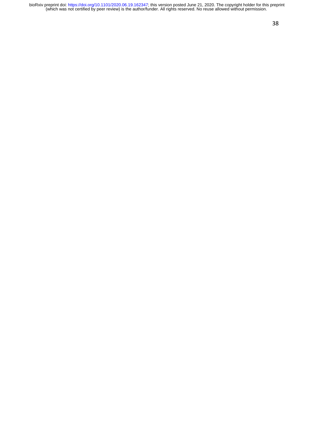(which was not certified by peer review) is the author/funder. All rights reserved. No reuse allowed without permission. bioRxiv preprint doi: [https://doi.org/10.1101/2020.06.19.162347;](https://doi.org/10.1101/2020.06.19.162347) this version posted June 21, 2020. The copyright holder for this preprint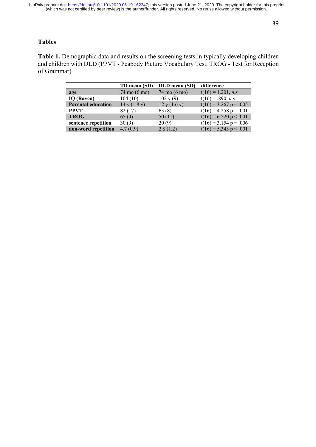# **Tables**

**Table 1.** Demographic data and results on the screening tests in typically developing children and children with DLD (PPVT - Peabody Picture Vocabulary Test, TROG - Test for Reception of Grammar)

|                           | TD mean (SD) | DLD mean (SD) | difference                       |
|---------------------------|--------------|---------------|----------------------------------|
| age                       | 74 mo (6 mo) | 74 mo (6 mo)  | $t(16) = 1.201, n.s.$            |
| IQ (Raven)                | 104(10)      | 102 y(9)      | $t(16) = .890, n.s.$             |
| <b>Parental education</b> | 14y(1.8y)    | 12 y (1.6 y)  | $t(16) = 3.267$ p = .005         |
| <b>PPVT</b>               | 82 (17)      | 63(8)         | $t(16) = 4.258 p = .001$         |
| <b>TROG</b>               | 65(4)        | 50(11)        | $t(16) = 6.520 \text{ p} < .001$ |
| sentence repetition       | 30(9)        | 20(9)         | $t(16) = 3.154 p = .006$         |
| non-word repetition       | 4.7(0.9)     | 2.8(1.2)      | $t(16) = 5.343$ p < .001         |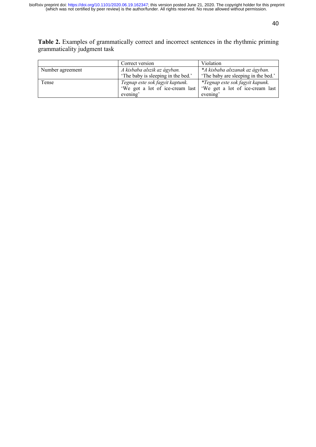**Table 2.** Examples of grammatically correct and incorrect sentences in the rhythmic priming grammaticality judgment task

|                  | Correct version                    | Violation                           |
|------------------|------------------------------------|-------------------------------------|
| Number agreement | A kisbaba alszik az ágyban.        | *A kisbaba alszanak az ágyban.      |
|                  | 'The baby is sleeping in the bed.' | 'The baby are sleeping in the bed.' |
| Tense            | Tegnap este sok fagyit kaptunk.    | *Tegnap este sok fagyit kapunk.     |
|                  | 'We got a lot of ice-cream last    | 'We get a lot of ice-cream last     |
|                  | evening'                           | evening'                            |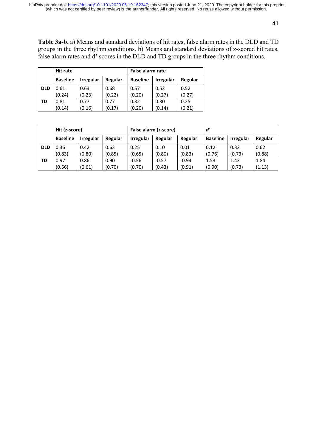**Table 3a-b.** a) Means and standard deviations of hit rates, false alarm rates in the DLD and TD groups in the three rhythm conditions. b) Means and standard deviations of z-scored hit rates, false alarm rates and d' scores in the DLD and TD groups in the three rhythm conditions.

|            | Hit rate        |                  |         | False alarm rate |                  |         |  |
|------------|-----------------|------------------|---------|------------------|------------------|---------|--|
|            | <b>Baseline</b> | <b>Irregular</b> | Regular | <b>Baseline</b>  | <b>Irregular</b> | Regular |  |
| <b>DLD</b> | 0.61            | 0.63             | 0.68    | 0.57             | 0.52             | 0.52    |  |
|            | (0.24)          | (0.23)           | (0.22)  | (0.20)           | (0.27)           | (0.27)  |  |
| TD         | 0.81            | 0.77             | 0.77    | 0.32             | 0.30             | 0.25    |  |
|            | (0.14)          | (0.16)           | (0.17)  | (0.20)           | (0.14)           | (0.21)  |  |

|            | Hit (z-score)   |                  |         | False alarm (z-score) |         |         | $\boldsymbol{d}'$ |                  |         |
|------------|-----------------|------------------|---------|-----------------------|---------|---------|-------------------|------------------|---------|
|            | <b>Baseline</b> | <b>Irregular</b> | Regular | <b>Irregular</b>      | Regular | Regular | <b>Baseline</b>   | <b>Irregular</b> | Regular |
| <b>DLD</b> | 0.36            | 0.42             | 0.63    | 0.25                  | 0.10    | 0.01    | 0.12              | 0.32             | 0.62    |
|            | (0.83)          | (0.80)           | (0.85)  | (0.65)                | (0.80)  | (0.83)  | (0.76)            | (0.73)           | (0.88)  |
| TD         | 0.97            | 0.86             | 0.90    | $-0.56$               | $-0.57$ | $-0.94$ | 1.53              | 1.43             | 1.84    |
|            | (0.56)          | (0.61)           | (0.70)  | (0.70)                | (0.43)  | (0.91)  | (0.90)            | (0.73)           | (1.13)  |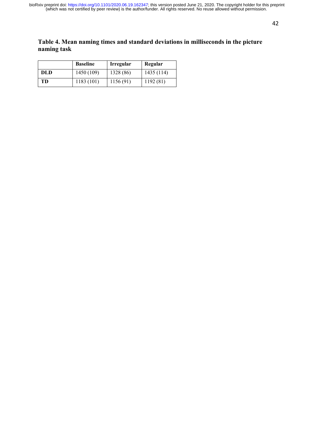# **Table 4. Mean naming times and standard deviations in milliseconds in the picture naming task**

|      | <b>Baseline</b> |           | Regular   |  |
|------|-----------------|-----------|-----------|--|
| DLD. | 1450 (109)      | 1328 (86) | 1435(114) |  |
| TD   | 1183(101)       | 1156(91)  | 1192(81)  |  |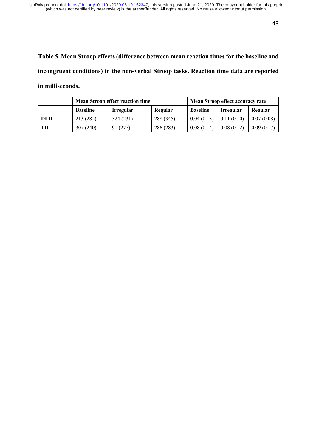# **Table 5. Mean Stroop effects (difference between mean reaction times for the baseline and incongruent conditions) in the non-verbal Stroop tasks. Reaction time data are reported in milliseconds.**

|     | <b>Mean Stroop effect reaction time</b> |                  |                 | Mean Stroop effect accuracy rate |            |            |  |
|-----|-----------------------------------------|------------------|-----------------|----------------------------------|------------|------------|--|
|     | <b>Baseline</b>                         | <b>Irregular</b> | <b>Baseline</b> | <b>Irregular</b>                 | Regular    |            |  |
| DLD | 213 (282)                               | 324(231)         | 288 (345)       | 0.04(0.13)                       | 0.11(0.10) | 0.07(0.08) |  |
| TD  | 307(240)                                | 91 (277)         | 286 (283)       | 0.08(0.14)                       | 0.08(0.12) | 0.09(0.17) |  |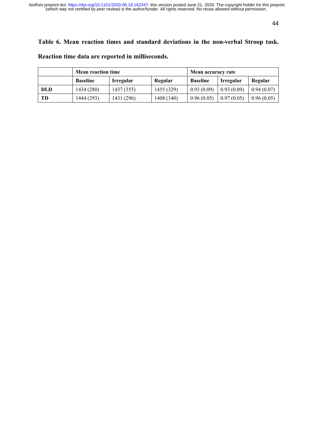# **Table 6. Mean reaction times and standard deviations in the non-verbal Stroop task.**

|            | <b>Mean reaction time</b> |                  |                 | Mean accuracy rate |            |            |
|------------|---------------------------|------------------|-----------------|--------------------|------------|------------|
|            | <b>Baseline</b>           | <b>Irregular</b> | <b>Baseline</b> | <b>Irregular</b>   | Regular    |            |
| <b>DLD</b> | 1434 (280)                | 1437 (355)       | 1455 (329)      | 0.93(0.09)         | 0.93(0.09) | 0.94(0.07) |
| TD         | 1444 (293)                | 1431 (296)       | 1408 (340)      | 0.96(0.05)         | 0.97(0.05) | 0.96(0.05) |

# **Reaction time data are reported in milliseconds.**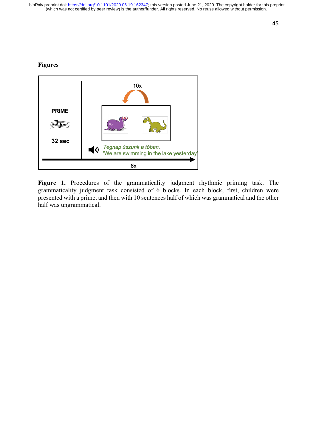# **Figures**



Figure 1. Procedures of the grammaticality judgment rhythmic priming task. The grammaticality judgment task consisted of 6 blocks. In each block, first, children were presented with a prime, and then with 10 sentences half of which was grammatical and the other half was ungrammatical.